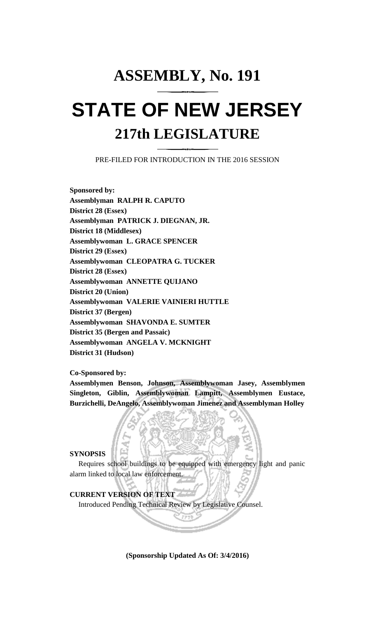# **ASSEMBLY, No. 191 STATE OF NEW JERSEY 217th LEGISLATURE**

PRE-FILED FOR INTRODUCTION IN THE 2016 SESSION

**Sponsored by: Assemblyman RALPH R. CAPUTO District 28 (Essex) Assemblyman PATRICK J. DIEGNAN, JR. District 18 (Middlesex) Assemblywoman L. GRACE SPENCER District 29 (Essex) Assemblywoman CLEOPATRA G. TUCKER District 28 (Essex) Assemblywoman ANNETTE QUIJANO District 20 (Union) Assemblywoman VALERIE VAINIERI HUTTLE District 37 (Bergen) Assemblywoman SHAVONDA E. SUMTER District 35 (Bergen and Passaic) Assemblywoman ANGELA V. MCKNIGHT District 31 (Hudson)**

**Co-Sponsored by:**

**Assemblymen Benson, Johnson, Assemblywoman Jasey, Assemblymen Singleton, Giblin, Assemblywoman Lampitt, Assemblymen Eustace, Burzichelli, DeAngelo, Assemblywoman Jimenez and Assemblyman Holley**

## **SYNOPSIS**

Requires school buildings to be equipped with emergency light and panic alarm linked to local law enforcement.

## **CURRENT VERSION OF TEXT**

Introduced Pending Technical Review by Legislative Counsel.

**(Sponsorship Updated As Of: 3/4/2016)**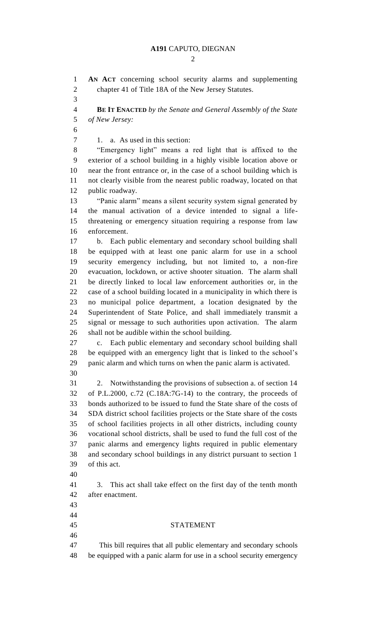#### **A191** CAPUTO, DIEGNAN

 $\mathcal{D}_{\mathcal{L}}$ 

 **AN ACT** concerning school security alarms and supplementing chapter 41 of Title 18A of the New Jersey Statutes.

 **BE IT ENACTED** *by the Senate and General Assembly of the State of New Jersey:*

1. a. As used in this section:

 "Emergency light" means a red light that is affixed to the exterior of a school building in a highly visible location above or near the front entrance or, in the case of a school building which is not clearly visible from the nearest public roadway, located on that public roadway.

 "Panic alarm" means a silent security system signal generated by the manual activation of a device intended to signal a life- threatening or emergency situation requiring a response from law enforcement.

 b. Each public elementary and secondary school building shall be equipped with at least one panic alarm for use in a school security emergency including, but not limited to, a non-fire evacuation, lockdown, or active shooter situation. The alarm shall be directly linked to local law enforcement authorities or, in the case of a school building located in a municipality in which there is no municipal police department, a location designated by the Superintendent of State Police, and shall immediately transmit a signal or message to such authorities upon activation. The alarm shall not be audible within the school building.

 c. Each public elementary and secondary school building shall be equipped with an emergency light that is linked to the school's panic alarm and which turns on when the panic alarm is activated. 

 2. Notwithstanding the provisions of subsection a. of section 14 of P.L.2000, c.72 (C.18A:7G-14) to the contrary, the proceeds of bonds authorized to be issued to fund the State share of the costs of SDA district school facilities projects or the State share of the costs of school facilities projects in all other districts, including county vocational school districts, shall be used to fund the full cost of the panic alarms and emergency lights required in public elementary and secondary school buildings in any district pursuant to section 1 of this act.

 3. This act shall take effect on the first day of the tenth month after enactment.

- 
- 
- 
- 

STATEMENT

 This bill requires that all public elementary and secondary schools be equipped with a panic alarm for use in a school security emergency